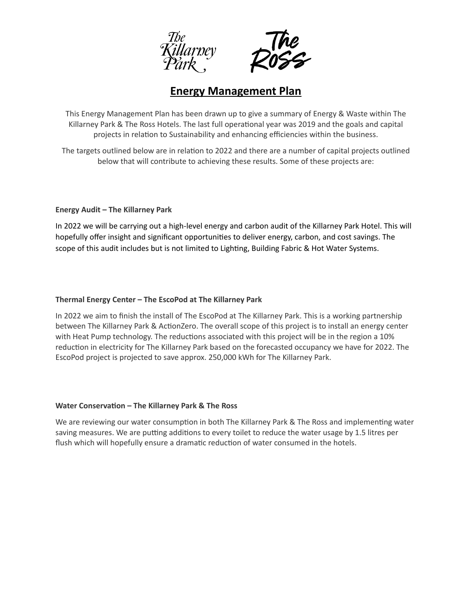



## **Energy Management Plan**

This Energy Management Plan has been drawn up to give a summary of Energy & Waste within The Killarney Park & The Ross Hotels. The last full operational year was 2019 and the goals and capital projects in relation to Sustainability and enhancing efficiencies within the business.

The targets outlined below are in relation to 2022 and there are a number of capital projects outlined below that will contribute to achieving these results. Some of these projects are:

## **Energy Audit – The Killarney Park**

In 2022 we will be carrying out a high-level energy and carbon audit of the Killarney Park Hotel. This will hopefully offer insight and significant opportunities to deliver energy, carbon, and cost savings. The scope of this audit includes but is not limited to Lighting, Building Fabric & Hot Water Systems.

## **Thermal Energy Center – The EscoPod at The Killarney Park**

In 2022 we aim to finish the install of The EscoPod at The Killarney Park. This is a working partnership between The Killarney Park & ActionZero. The overall scope of this project is to install an energy center with Heat Pump technology. The reductions associated with this project will be in the region a 10% reduction in electricity for The Killarney Park based on the forecasted occupancy we have for 2022. The EscoPod project is projected to save approx. 250,000 kWh for The Killarney Park.

## **Water Conservation – The Killarney Park & The Ross**

We are reviewing our water consumption in both The Killarney Park & The Ross and implementing water saving measures. We are putting additions to every toilet to reduce the water usage by 1.5 litres per flush which will hopefully ensure a dramatic reduction of water consumed in the hotels.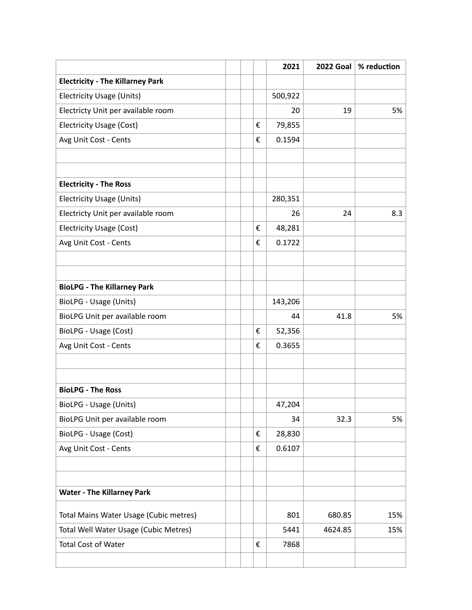|                                         |   | 2021    | 2022 Goal | % reduction |
|-----------------------------------------|---|---------|-----------|-------------|
| <b>Electricity - The Killarney Park</b> |   |         |           |             |
| <b>Electricity Usage (Units)</b>        |   | 500,922 |           |             |
| Electricty Unit per available room      |   | 20      | 19        | 5%          |
| Electricity Usage (Cost)                | € | 79,855  |           |             |
| Avg Unit Cost - Cents                   | € | 0.1594  |           |             |
|                                         |   |         |           |             |
|                                         |   |         |           |             |
| <b>Electricity - The Ross</b>           |   |         |           |             |
| <b>Electricity Usage (Units)</b>        |   | 280,351 |           |             |
| Electricty Unit per available room      |   | 26      | 24        | 8.3         |
| <b>Electricity Usage (Cost)</b>         | € | 48,281  |           |             |
| Avg Unit Cost - Cents                   | € | 0.1722  |           |             |
|                                         |   |         |           |             |
|                                         |   |         |           |             |
| <b>BioLPG - The Killarney Park</b>      |   |         |           |             |
| BioLPG - Usage (Units)                  |   | 143,206 |           |             |
| BioLPG Unit per available room          |   | 44      | 41.8      | 5%          |
| BioLPG - Usage (Cost)                   | € | 52,356  |           |             |
| Avg Unit Cost - Cents                   | € | 0.3655  |           |             |
|                                         |   |         |           |             |
|                                         |   |         |           |             |
| <b>BioLPG - The Ross</b>                |   |         |           |             |
| BioLPG - Usage (Units)                  |   | 47,204  |           |             |
| BioLPG Unit per available room          |   | 34      | 32.3      | 5%          |
| BioLPG - Usage (Cost)                   | € | 28,830  |           |             |
| Avg Unit Cost - Cents                   | € | 0.6107  |           |             |
|                                         |   |         |           |             |
|                                         |   |         |           |             |
| <b>Water - The Killarney Park</b>       |   |         |           |             |
| Total Mains Water Usage (Cubic metres)  |   | 801     | 680.85    | 15%         |
| Total Well Water Usage (Cubic Metres)   |   | 5441    | 4624.85   | 15%         |
| <b>Total Cost of Water</b>              | € | 7868    |           |             |
|                                         |   |         |           |             |
|                                         |   |         |           |             |